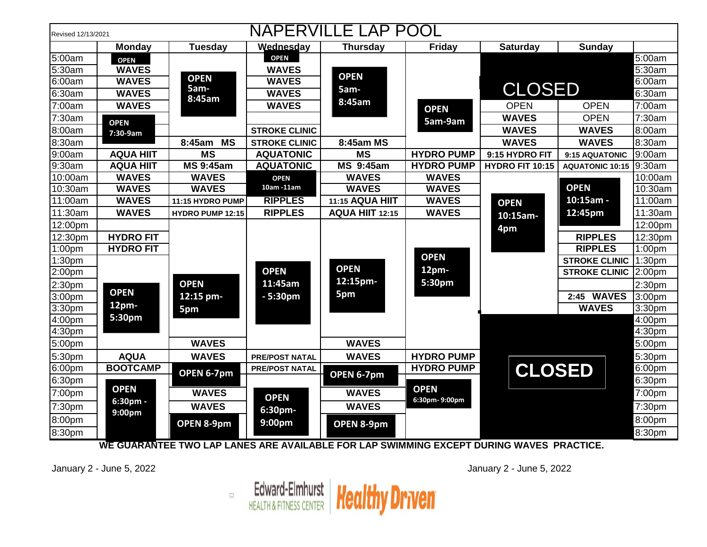| Revised 12/13/2021 |                      |                     |                       | NAPERVILLE LAP POOL |                              |                 |                        |                    |
|--------------------|----------------------|---------------------|-----------------------|---------------------|------------------------------|-----------------|------------------------|--------------------|
|                    | <b>Monday</b>        | <b>Tuesday</b>      | Wednesday             | <b>Thursday</b>     | <b>Friday</b>                | <b>Saturday</b> | <b>Sunday</b>          |                    |
| 5:00am             | <b>OPEN</b>          |                     | <b>OPEN</b>           |                     |                              |                 |                        | 5:00am             |
| 5:30am             | <b>WAVES</b>         |                     | <b>WAVES</b>          |                     |                              |                 |                        | 5:30am             |
| 6:00am             | <b>WAVES</b>         | <b>OPEN</b>         | <b>WAVES</b>          | <b>OPEN</b>         |                              |                 |                        | 6:00am             |
| 6:30am             | <b>WAVES</b>         | 5am-<br>8:45am      | <b>WAVES</b>          | 5am-                |                              | <b>CLOSED</b>   |                        | 6:30am             |
| 7:00am             | <b>WAVES</b>         |                     | <b>WAVES</b>          | 8:45am              | <b>OPEN</b>                  | <b>OPEN</b>     | <b>OPEN</b>            | 7:00am             |
| 7:30am             | <b>OPEN</b>          |                     |                       |                     | 5am-9am                      | <b>WAVES</b>    | <b>OPEN</b>            | 7:30am             |
| 8:00am             | 7:30-9am             |                     | <b>STROKE CLINIC</b>  |                     |                              | <b>WAVES</b>    | <b>WAVES</b>           | 8:00am             |
| 8:30am             |                      | 8:45am<br><b>MS</b> | <b>STROKE CLINIC</b>  | 8:45am MS           |                              | <b>WAVES</b>    | <b>WAVES</b>           | 8:30am             |
| 9:00am             | <b>AQUA HIIT</b>     | <b>MS</b>           | <b>AQUATONIC</b>      | <b>MS</b>           | <b>HYDRO PUMP</b>            | 9:15 HYDRO FIT  | 9:15 AQUATONIC         | 9:00am             |
| 9:30am             | <b>AQUA HIIT</b>     | <b>MS 9:45am</b>    | <b>AQUATONIC</b>      | <b>MS 9:45am</b>    | <b>HYDRO PUMP</b>            | HYDRO FIT 10:15 | <b>AQUATONIC 10:15</b> | 9:30am             |
| 10:00am            | <b>WAVES</b>         | <b>WAVES</b>        | <b>OPEN</b>           | <b>WAVES</b>        | <b>WAVES</b>                 |                 |                        | 10:00am            |
| 10:30am            | <b>WAVES</b>         | <b>WAVES</b>        | 10am -11am            | <b>WAVES</b>        | <b>WAVES</b>                 |                 | <b>OPEN</b>            | 10:30am            |
| 11:00am            | <b>WAVES</b>         | 11:15 HYDRO PUMP    | <b>RIPPLES</b>        | 11:15 AQUA HIIT     | <b>WAVES</b>                 | <b>OPEN</b>     | 10:15am -              | 11:00am            |
| 11:30am            | <b>WAVES</b>         | HYDRO PUMP 12:15    | <b>RIPPLES</b>        | AQUA HIIT 12:15     | <b>WAVES</b>                 | 10:15am-        | 12:45pm                | 11:30am            |
| 12:00pm            |                      |                     |                       |                     |                              | 4pm             |                        | 12:00pm            |
| 12:30pm            | <b>HYDRO FIT</b>     |                     |                       |                     |                              |                 | <b>RIPPLES</b>         | 12:30pm            |
| 1:00pm             | <b>HYDRO FIT</b>     |                     |                       |                     |                              |                 | <b>RIPPLES</b>         | 1:00pm             |
| 1:30pm             |                      |                     |                       |                     | <b>OPEN</b>                  |                 | <b>STROKE CLINIC</b>   | 1:30pm             |
| 2:00 <sub>pm</sub> |                      |                     | <b>OPEN</b>           | <b>OPEN</b>         | 12 <sub>pm</sub>             |                 | <b>STROKE CLINIC</b>   | 2:00 <sub>pm</sub> |
| 2:30pm             | <b>OPEN</b>          | <b>OPEN</b>         | 11:45am               | 12:15pm-            | 5:30pm                       |                 |                        | 2:30pm             |
| 3:00pm             |                      | 12:15 pm-           | $-5:30pm$             | 5pm                 |                              |                 | 2:45 WAVES             | 3:00pm             |
| 3:30pm             | 12 <sub>pm</sub>     | 5pm                 |                       |                     |                              |                 | <b>WAVES</b>           | 3:30pm             |
| 4:00pm             | 5:30pm               |                     |                       |                     |                              |                 |                        | 4:00pm             |
| 4:30pm             |                      |                     |                       |                     |                              |                 |                        | 4:30pm             |
| 5:00pm             |                      | <b>WAVES</b>        |                       | <b>WAVES</b>        |                              |                 |                        | 5:00pm             |
| 5:30pm             | <b>AQUA</b>          | <b>WAVES</b>        | <b>PRE/POST NATAL</b> | <b>WAVES</b>        | <b>HYDRO PUMP</b>            |                 |                        | 5:30pm             |
| 6:00pm             | <b>BOOTCAMP</b>      | OPEN 6-7pm          | <b>PRE/POST NATAL</b> | OPEN 6-7pm          | <b>HYDRO PUMP</b>            | <b>CLOSED</b>   |                        | 6:00pm             |
| 6:30pm             |                      |                     |                       |                     |                              |                 |                        | 6:30pm             |
| 7:00pm             | <b>OPEN</b>          | <b>WAVES</b>        | <b>OPEN</b>           | <b>WAVES</b>        | <b>OPEN</b><br>6:30pm-9:00pm |                 |                        | 7:00pm             |
| 7:30pm             | $6:30pm$ .<br>9:00pm | <b>WAVES</b>        | 6:30pm-               | <b>WAVES</b>        |                              |                 |                        | 7:30pm             |
| 8:00pm             |                      | OPEN 8-9pm          | 9:00pm                | OPEN 8-9pm          |                              |                 |                        | 8:00pm             |
| 8:30pm             |                      |                     |                       |                     |                              |                 |                        | 8:30pm             |

**WE GUARANTEE TWO LAP LANES ARE AVAILABLE FOR LAP SWIMMING EXCEPT DURING WAVES PRACTICE.**



January 2 - June 5, 2022 January 2 - June 5, 2022